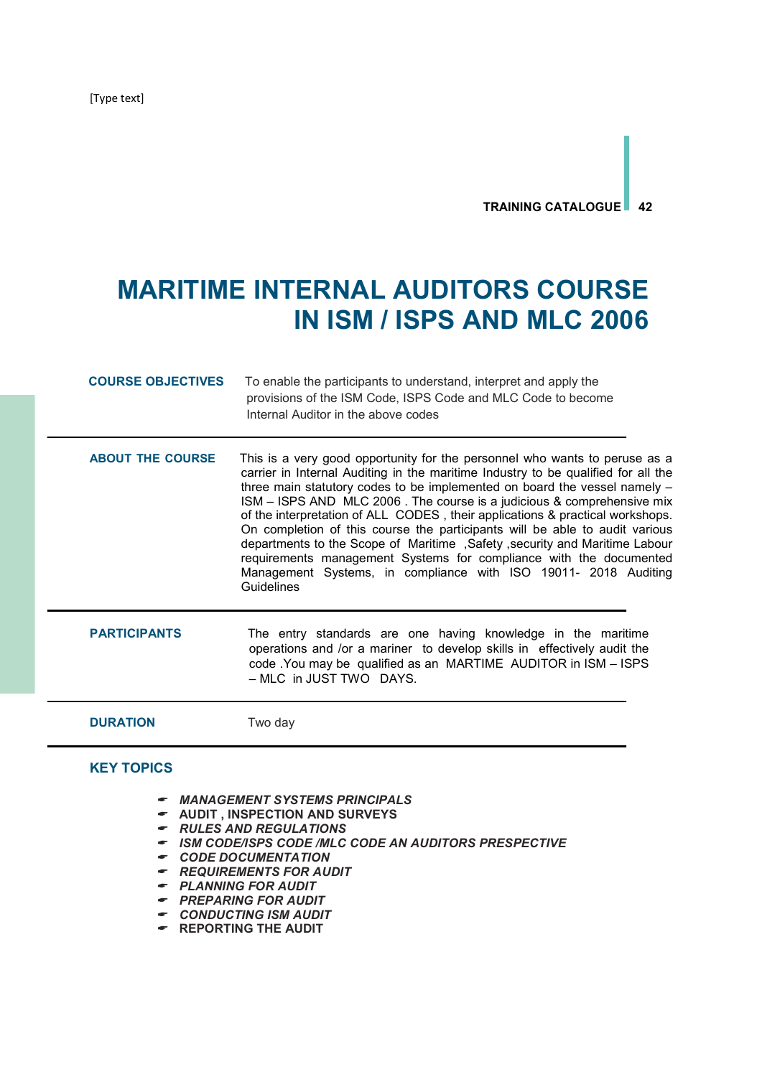[Type text]

## TRAINING CATALOGUE 42

## MARITIME INTERNAL AUDITORS COURSE IN ISM / ISPS AND MLC 2006

| <b>COURSE OBJECTIVES</b> | To enable the participants to understand, interpret and apply the<br>provisions of the ISM Code, ISPS Code and MLC Code to become<br>Internal Auditor in the above codes                                                                                                                                                                                                                                                                                                                                                                                                                                                                                                                                                           |
|--------------------------|------------------------------------------------------------------------------------------------------------------------------------------------------------------------------------------------------------------------------------------------------------------------------------------------------------------------------------------------------------------------------------------------------------------------------------------------------------------------------------------------------------------------------------------------------------------------------------------------------------------------------------------------------------------------------------------------------------------------------------|
| <b>ABOUT THE COURSE</b>  | This is a very good opportunity for the personnel who wants to peruse as a<br>carrier in Internal Auditing in the maritime Industry to be qualified for all the<br>three main statutory codes to be implemented on board the vessel namely -<br>ISM - ISPS AND MLC 2006. The course is a judicious & comprehensive mix<br>of the interpretation of ALL CODES, their applications & practical workshops.<br>On completion of this course the participants will be able to audit various<br>departments to the Scope of Maritime, Safety, security and Maritime Labour<br>requirements management Systems for compliance with the documented<br>Management Systems, in compliance with ISO 19011- 2018 Auditing<br><b>Guidelines</b> |
| <b>PARTICIPANTS</b>      | The entry standards are one having knowledge in the maritime<br>operations and /or a mariner to develop skills in effectively audit the<br>code . You may be qualified as an MARTIME AUDITOR in ISM - ISPS<br>- MLC in JUST TWO DAYS.                                                                                                                                                                                                                                                                                                                                                                                                                                                                                              |
| <b>DURATION</b>          | Two day                                                                                                                                                                                                                                                                                                                                                                                                                                                                                                                                                                                                                                                                                                                            |

## KEY TOPICS

- MANAGEMENT SYSTEMS PRINCIPALS
- $\bullet$  AUDIT, INSPECTION AND SURVEYS
- $\bullet$  RULES AND REGULATIONS
- ISM CODE/ISPS CODE /MLC CODE AN AUDITORS PRESPECTIVE
- CODE DOCUMENTATION
- REQUIREMENTS FOR AUDIT
- PLANNING FOR AUDIT
- PREPARING FOR AUDIT
- CONDUCTING ISM AUDIT
- **F** REPORTING THE AUDIT